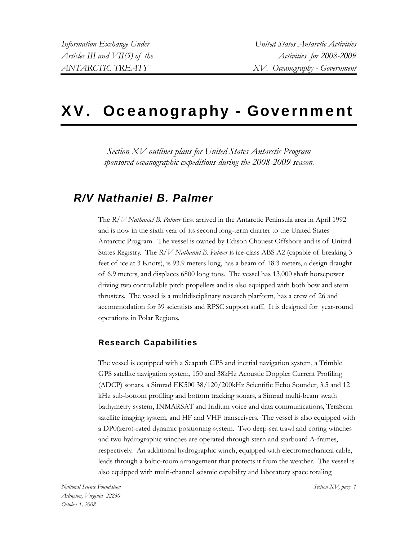# XV. Oceanography - Government

*Section XV outlines plans for United States Antarctic Program sponsored oceanographic expeditions during the 2008-2009 season.* 

### *R/V Nathaniel B. Palmer*

The *R/V Nathaniel B. Palmer* first arrived in the Antarctic Peninsula area in April 1992 and is now in the sixth year of its second long-term charter to the United States Antarctic Program. The vessel is owned by Edison Chouest Offshore and is of United States Registry. The *R/V Nathaniel B. Palmer* is ice-class ABS A2 (capable of breaking 3 feet of ice at 3 Knots), is 93.9 meters long, has a beam of 18.3 meters, a design draught of 6.9 meters, and displaces 6800 long tons. The vessel has 13,000 shaft horsepower driving two controllable pitch propellers and is also equipped with both bow and stern thrusters. The vessel is a multidisciplinary research platform, has a crew of 26 and accommodation for 39 scientists and RPSC support staff. It is designed for year-round operations in Polar Regions.

#### **Research Capabilities**

The vessel is equipped with a Seapath GPS and inertial navigation system, a Trimble GPS satellite navigation system, 150 and 38kHz Acoustic Doppler Current Profiling (ADCP) sonars, a Simrad EK500 38/120/200kHz Scientific Echo Sounder, 3.5 and 12 kHz sub-bottom profiling and bottom tracking sonars, a Simrad multi-beam swath bathymetry system, INMARSAT and Iridium voice and data communications, TeraScan satellite imaging system, and HF and VHF transceivers. The vessel is also equipped with a DP0(zero)-rated dynamic positioning system. Two deep-sea trawl and coring winches and two hydrographic winches are operated through stern and starboard A-frames, respectively. An additional hydrographic winch, equipped with electromechanical cable, leads through a baltic-room arrangement that protects it from the weather. The vessel is also equipped with multi-channel seismic capability and laboratory space totaling

*National Science Foundation Arlington, Virginia 22230 October 1, 2008* 

*Section XV, page 1*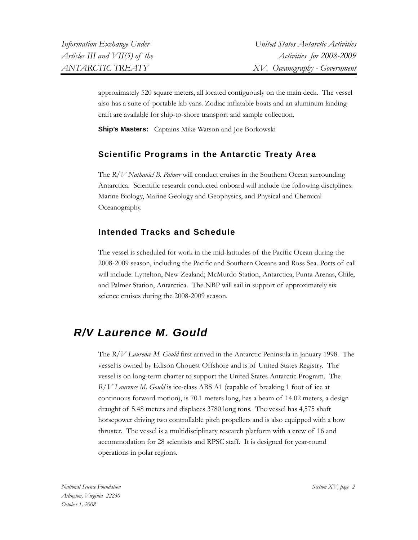approximately 520 square meters, all located contiguously on the main deck. The vessel also has a suite of portable lab vans. Zodiac inflatable boats and an aluminum landing craft are available for ship-to-shore transport and sample collection.

**Ship's Masters:** Captains Mike Watson and Joe Borkowski

#### **Scientific Programs in the Antarctic Treaty Area**

The *R/V Nathaniel B. Palmer* will conduct cruises in the Southern Ocean surrounding Antarctica. Scientific research conducted onboard will include the following disciplines: Marine Biology, Marine Geology and Geophysics, and Physical and Chemical Oceanography.

#### **Intended Tracks and Schedule**

The vessel is scheduled for work in the mid-latitudes of the Pacific Ocean during the 2008-2009 season, including the Pacific and Southern Oceans and Ross Sea. Ports of call will include: Lyttelton, New Zealand; McMurdo Station, Antarctica; Punta Arenas, Chile, and Palmer Station, Antarctica. The NBP will sail in support of approximately six science cruises during the 2008-2009 season.

### *R/V Laurence M. Gould*

The *R/V Laurence M. Gould* first arrived in the Antarctic Peninsula in January 1998. The vessel is owned by Edison Chouest Offshore and is of United States Registry. The vessel is on long-term charter to support the United States Antarctic Program. The *R/V Laurence M. Gould* is ice-class ABS A1 (capable of breaking 1 foot of ice at continuous forward motion), is 70.1 meters long, has a beam of 14.02 meters, a design draught of 5.48 meters and displaces 3780 long tons. The vessel has 4,575 shaft horsepower driving two controllable pitch propellers and is also equipped with a bow thruster. The vessel is a multidisciplinary research platform with a crew of 16 and accommodation for 28 scientists and RPSC staff. It is designed for year-round operations in polar regions.

*National Science Foundation Arlington, Virginia 22230 October 1, 2008* 

*Section XV, page 2*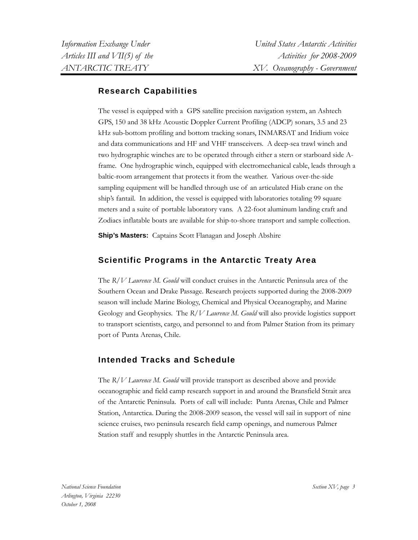#### **Research Capabilities**

The vessel is equipped with a GPS satellite precision navigation system, an Ashtech GPS, 150 and 38 kHz Acoustic Doppler Current Profiling (ADCP) sonars, 3.5 and 23 kHz sub-bottom profiling and bottom tracking sonars, INMARSAT and Iridium voice and data communications and HF and VHF transceivers. A deep-sea trawl winch and two hydrographic winches are to be operated through either a stern or starboard side Aframe. One hydrographic winch, equipped with electromechanical cable, leads through a baltic-room arrangement that protects it from the weather. Various over-the-side sampling equipment will be handled through use of an articulated Hiab crane on the ship's fantail. In addition, the vessel is equipped with laboratories totaling 99 square meters and a suite of portable laboratory vans. A 22-foot aluminum landing craft and Zodiacs inflatable boats are available for ship-to-shore transport and sample collection.

**Ship's Masters:** Captains Scott Flanagan and Joseph Abshire

#### **Scientific Programs in the Antarctic Treaty Area**

The *R/V Laurence M. Gould* will conduct cruises in the Antarctic Peninsula area of the Southern Ocean and Drake Passage. Research projects supported during the 2008-2009 season will include Marine Biology, Chemical and Physical Oceanography, and Marine Geology and Geophysics. The *R/V Laurence M. Gould* will also provide logistics support to transport scientists, cargo, and personnel to and from Palmer Station from its primary port of Punta Arenas, Chile.

#### **Intended Tracks and Schedule**

The *R/V Laurence M. Gould* will provide transport as described above and provide oceanographic and field camp research support in and around the Bransfield Strait area of the Antarctic Peninsula. Ports of call will include: Punta Arenas, Chile and Palmer Station, Antarctica. During the 2008-2009 season, the vessel will sail in support of nine science cruises, two peninsula research field camp openings, and numerous Palmer Station staff and resupply shuttles in the Antarctic Peninsula area.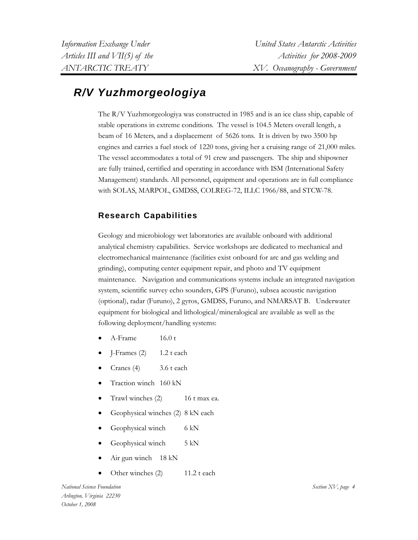## *R/V Yuzhmorgeologiya*

The R/V Yuzhmorgeologiya was constructed in 1985 and is an ice class ship, capable of stable operations in extreme conditions. The vessel is 104.5 Meters overall length, a beam of 16 Meters, and a displacement of 5626 tons. It is driven by two 3500 hp engines and carries a fuel stock of 1220 tons, giving her a cruising range of 21,000 miles. The vessel accommodates a total of 91 crew and passengers. The ship and shipowner are fully trained, certified and operating in accordance with ISM (International Safety Management) standards. All personnel, equipment and operations are in full compliance with SOLAS, MARPOL, GMDSS, COLREG-72, ILLC 1966/88, and STCW-78.

#### **Research Capabilities**

Geology and microbiology wet laboratories are available onboard with additional analytical chemistry capabilities. Service workshops are dedicated to mechanical and electromechanical maintenance (facilities exist onboard for arc and gas welding and grinding), computing center equipment repair, and photo and TV equipment maintenance. Navigation and communications systems include an integrated navigation system, scientific survey echo sounders, GPS (Furuno), subsea acoustic navigation (optional), radar (Furuno), 2 gyros, GMDSS, Furuno, and NMARSAT B. Underwater equipment for biological and lithological/mineralogical are available as well as the following deployment/handling systems:

- A-Frame 16.0 t
- $I-Frames (2)$  1.2 t each
- Cranes (4) 3.6 t each
- Traction winch 160 kN
- Trawl winches (2) 16 t max ea.
- Geophysical winches (2) 8 kN each
- Geophysical winch 6 kN
- Geophysical winch 5 kN
- Air gun winch 18 kN
- Other winches (2) 11.2 t each